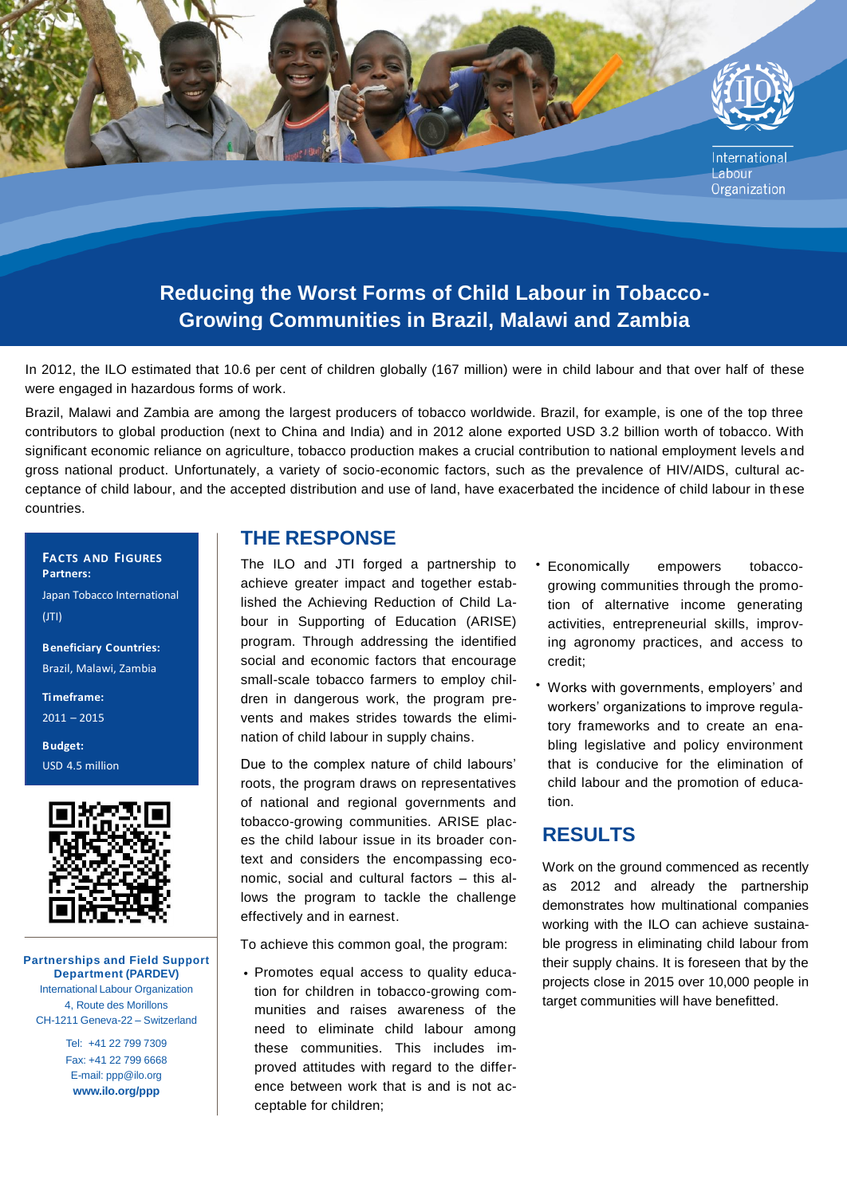

In 2012, the ILO estimated that 10.6 per cent of children globally (167 million) were in child labour and that over half of these were engaged in hazardous forms of work.

Brazil, Malawi and Zambia are among the largest producers of tobacco worldwide. Brazil, for example, is one of the top three contributors to global production (next to China and India) and in 2012 alone exported USD 3.2 billion worth of tobacco. With significant economic reliance on agriculture, tobacco production makes a crucial contribution to national employment levels and gross national product. Unfortunately, a variety of socio-economic factors, such as the prevalence of HIV/AIDS, cultural acceptance of child labour, and the accepted distribution and use of land, have exacerbated the incidence of child labour in these countries.

#### **FACTS AND FIGURES Partners:** Japan Tobacco International (JTI)

**Beneficiary Countries:** Brazil, Malawi, Zambia

**Timeframe:** 2011 – 2015

**Budget:**

USD 4.5 million



**Partnerships and Field Support Department (PARDEV)**

International Labour Organization 4, Route des Morillons CH-1211 Geneva-22 – Switzerland

> Tel: +41 22 799 7309 Fax: +41 22 799 6668 E-mail: [ppp@ilo.org](mailto:ppp@ilo.org) **[www.ilo.org/ppp](http://www.ilo.org/ppp)**

## **THE RESPONSE**

The ILO and JTI forged a partnership to achieve greater impact and together established the Achieving Reduction of Child Labour in Supporting of Education (ARISE) program. Through addressing the identified social and economic factors that encourage small-scale tobacco farmers to employ children in dangerous work, the program prevents and makes strides towards the elimination of child labour in supply chains.

Due to the complex nature of child labours' roots, the program draws on representatives of national and regional governments and tobacco-growing communities. ARISE places the child labour issue in its broader context and considers the encompassing economic, social and cultural factors – this allows the program to tackle the challenge effectively and in earnest.

To achieve this common goal, the program:

Promotes equal access to quality educa-• tion for children in tobacco-growing communities and raises awareness of the need to eliminate child labour among these communities. This includes improved attitudes with regard to the difference between work that is and is not acceptable for children;

- Economically empowers tobacco-• growing communities through the promotion of alternative income generating activities, entrepreneurial skills, improving agronomy practices, and access to credit;
- Works with governments, employers' and workers' organizations to improve regulatory frameworks and to create an enabling legislative and policy environment that is conducive for the elimination of child labour and the promotion of education. •

# **RESULTS**

Work on the ground commenced as recently as 2012 and already the partnership demonstrates how multinational companies working with the ILO can achieve sustainable progress in eliminating child labour from their supply chains. It is foreseen that by the projects close in 2015 over 10,000 people in target communities will have benefitted.